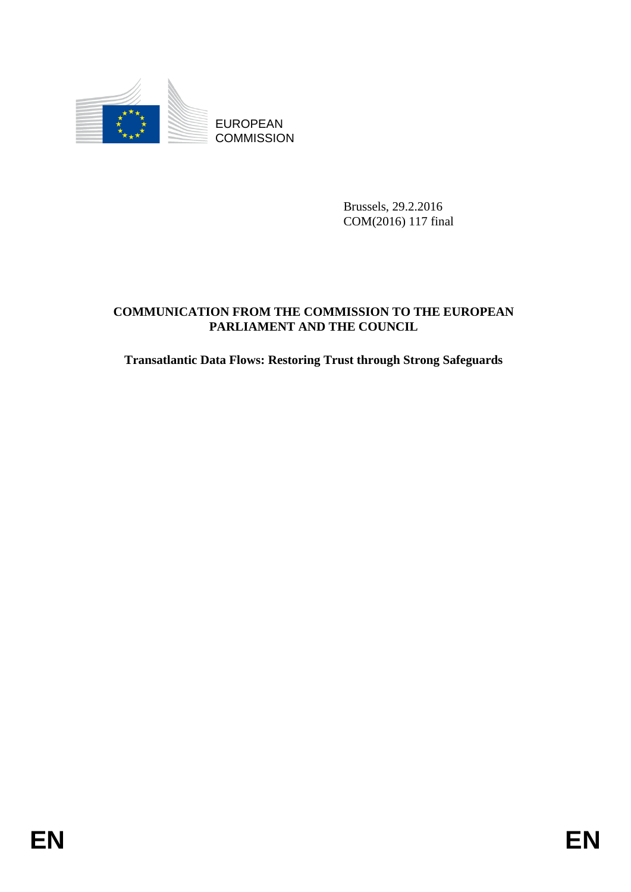

Brussels, 29.2.2016 COM(2016) 117 final

# EUROPEAN<br>
EUROPEAN<br>
ENGEL 2012<br>
COMMUNICATION PROM<br>
FRIELAMENT AND THE CONNESSION TO THE EUROPEAN<br>
FRIELIAMENT AND THE COUNCIL<br>
FRIELEMENT AND THE COUNCIL<br>
FRIELEMENT AND THE COUNCIL<br>
FRIELEMENT AND THE COUNCIL<br>
FRIELEMENT **COMMUNICATION FROM THE COMMISSION TO THE EUROPEAN PARLIAMENT AND THE COUNCIL**

**Transatlantic Data Flows: Restoring Trust through Strong Safeguards**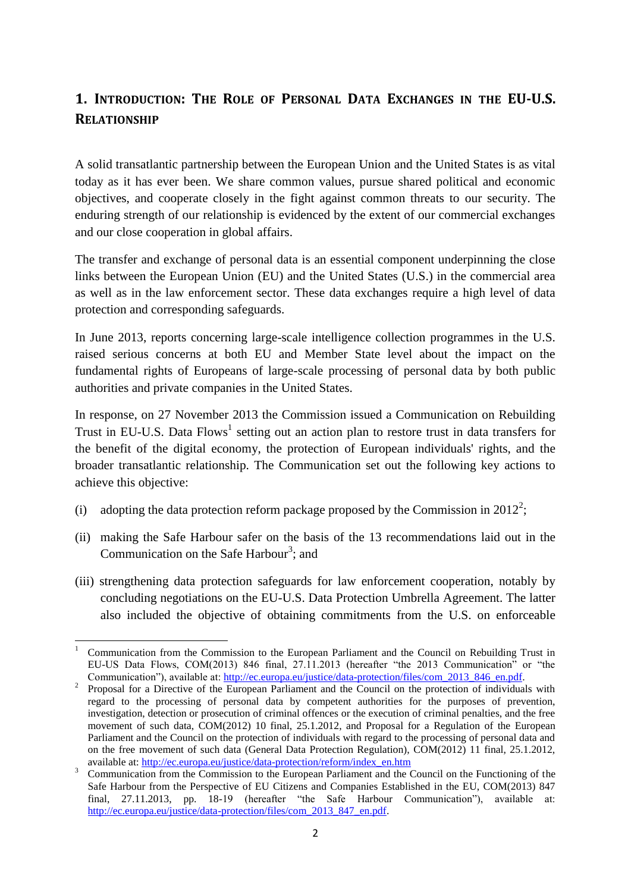# **1. INTRODUCTION: THE ROLE OF PERSONAL DATA EXCHANGES IN THE EU-U.S. RELATIONSHIP**

A solid transatlantic partnership between the European Union and the United States is as vital today as it has ever been. We share common values, pursue shared political and economic objectives, and cooperate closely in the fight against common threats to our security. The enduring strength of our relationship is evidenced by the extent of our commercial exchanges and our close cooperation in global affairs.

The transfer and exchange of personal data is an essential component underpinning the close links between the European Union (EU) and the United States (U.S.) in the commercial area as well as in the law enforcement sector. These data exchanges require a high level of data protection and corresponding safeguards.

In June 2013, reports concerning large-scale intelligence collection programmes in the U.S. raised serious concerns at both EU and Member State level about the impact on the fundamental rights of Europeans of large-scale processing of personal data by both public authorities and private companies in the United States.

In response, on 27 November 2013 the Commission issued a Communication on Rebuilding Trust in EU-U.S. Data Flows<sup>1</sup> setting out an action plan to restore trust in data transfers for the benefit of the digital economy, the protection of European individuals' rights, and the broader transatlantic relationship. The Communication set out the following key actions to achieve this objective:

- (i) adopting the data protection reform package proposed by the Commission in 2012<sup>2</sup>;
- (ii) making the Safe Harbour safer on the basis of the 13 recommendations laid out in the Communication on the Safe Harbour<sup>3</sup>; and
- (iii) strengthening data protection safeguards for law enforcement cooperation, notably by concluding negotiations on the EU-U.S. Data Protection Umbrella Agreement. The latter also included the objective of obtaining commitments from the U.S. on enforceable

**<sup>.</sup>** <sup>1</sup> Communication from the Commission to the European Parliament and the Council on Rebuilding Trust in EU-US Data Flows, COM(2013) 846 final, 27.11.2013 (hereafter "the 2013 Communication" or "the Communication"), available at: [http://ec.europa.eu/justice/data-protection/files/com\\_2013\\_846\\_en.pdf.](http://ec.europa.eu/justice/data-protection/files/com_2013_846_en.pdf)

<sup>&</sup>lt;sup>2</sup> Proposal for a Directive of the European Parliament and the Council on the protection of individuals with regard to the processing of personal data by competent authorities for the purposes of prevention, investigation, detection or prosecution of criminal offences or the execution of criminal penalties, and the free movement of such data, COM(2012) 10 final, 25.1.2012, and Proposal for a Regulation of the European Parliament and the Council on the protection of individuals with regard to the processing of personal data and on the free movement of such data (General Data Protection Regulation), COM(2012) 11 final, 25.1.2012, available at: [http://ec.europa.eu/justice/data-protection/reform/index\\_en.htm](http://ec.europa.eu/justice/data-protection/reform/index_en.htm)

<sup>3</sup> Communication from the Commission to the European Parliament and the Council on the Functioning of the Safe Harbour from the Perspective of EU Citizens and Companies Established in the EU, COM(2013) 847 final, 27.11.2013, pp. 18-19 (hereafter "the Safe Harbour Communication"), available at: [http://ec.europa.eu/justice/data-protection/files/com\\_2013\\_847\\_en.pdf.](http://ec.europa.eu/justice/data-protection/files/com_2013_847_en.pdf)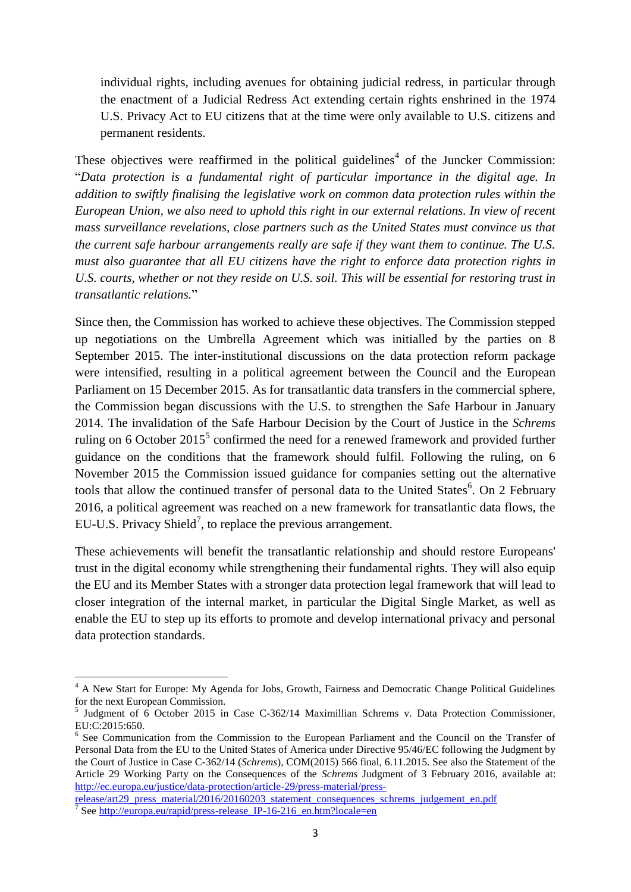individual rights, including avenues for obtaining judicial redress, in particular through the enactment of a Judicial Redress Act extending certain rights enshrined in the 1974 U.S. Privacy Act to EU citizens that at the time were only available to U.S. citizens and permanent residents.

These objectives were reaffirmed in the political guidelines<sup>4</sup> of the Juncker Commission: "*Data protection is a fundamental right of particular importance in the digital age. In addition to swiftly finalising the legislative work on common data protection rules within the European Union, we also need to uphold this right in our external relations. In view of recent mass surveillance revelations, close partners such as the United States must convince us that the current safe harbour arrangements really are safe if they want them to continue. The U.S. must also guarantee that all EU citizens have the right to enforce data protection rights in U.S. courts, whether or not they reside on U.S. soil. This will be essential for restoring trust in transatlantic relations.*"

Since then, the Commission has worked to achieve these objectives. The Commission stepped up negotiations on the Umbrella Agreement which was initialled by the parties on 8 September 2015. The inter-institutional discussions on the data protection reform package were intensified, resulting in a political agreement between the Council and the European Parliament on 15 December 2015. As for transatlantic data transfers in the commercial sphere, the Commission began discussions with the U.S. to strengthen the Safe Harbour in January 2014. The invalidation of the Safe Harbour Decision by the Court of Justice in the *Schrems* ruling on 6 October 2015<sup>5</sup> confirmed the need for a renewed framework and provided further guidance on the conditions that the framework should fulfil. Following the ruling, on 6 November 2015 the Commission issued guidance for companies setting out the alternative tools that allow the continued transfer of personal data to the United States<sup>6</sup>. On 2 February 2016, a political agreement was reached on a new framework for transatlantic data flows, the EU-U.S. Privacy Shield<sup>7</sup>, to replace the previous arrangement.

These achievements will benefit the transatlantic relationship and should restore Europeans' trust in the digital economy while strengthening their fundamental rights. They will also equip the EU and its Member States with a stronger data protection legal framework that will lead to closer integration of the internal market, in particular the Digital Single Market, as well as enable the EU to step up its efforts to promote and develop international privacy and personal data protection standards.

**.** 

<sup>&</sup>lt;sup>4</sup> A New Start for Europe: My Agenda for Jobs, Growth, Fairness and Democratic Change Political Guidelines for the next European Commission.

<sup>&</sup>lt;sup>5</sup> Judgment of 6 October 2015 in Case C-362/14 Maximillian Schrems v. Data Protection Commissioner, EU:C:2015:650.

<sup>&</sup>lt;sup>6</sup> See Communication from the Commission to the European Parliament and the Council on the Transfer of Personal Data from the EU to the United States of America under Directive 95/46/EC following the Judgment by the Court of Justice in Case C-362/14 (*Schrems*), COM(2015) 566 final, 6.11.2015. See also the Statement of the Article 29 Working Party on the Consequences of the *Schrems* Judgment of 3 February 2016, available at: [http://ec.europa.eu/justice/data-protection/article-29/press-material/press-](http://ec.europa.eu/justice/data-protection/article-29/press-material/press-release/art29_press_material/2016/20160203_statement_consequences_schrems_judgement_en.pdf)

[release/art29\\_press\\_material/2016/20160203\\_statement\\_consequences\\_schrems\\_judgement\\_en.pdf](http://ec.europa.eu/justice/data-protection/article-29/press-material/press-release/art29_press_material/2016/20160203_statement_consequences_schrems_judgement_en.pdf) <sup>7</sup> See http://europa.eu/rapid/press-release IP-16-216 en.htm?locale=en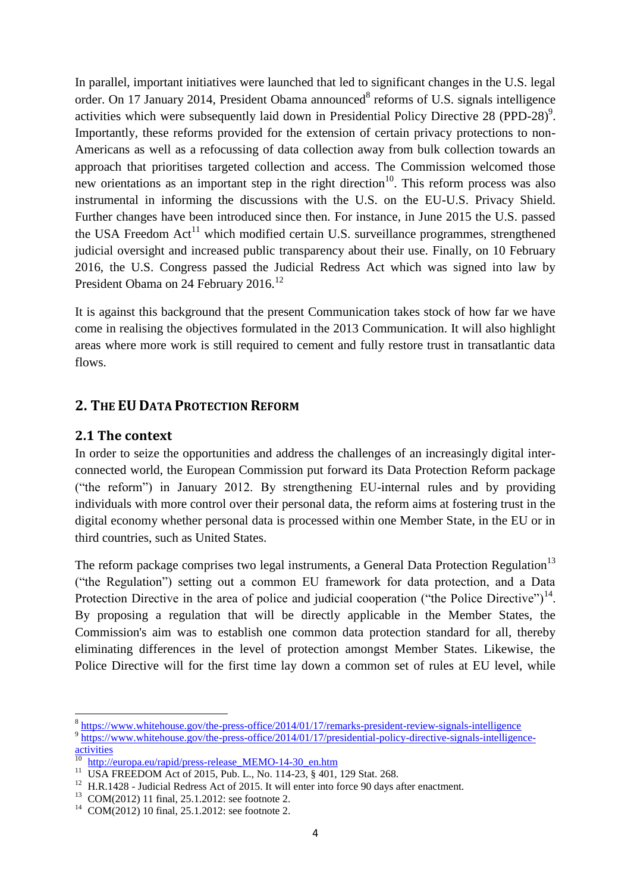In parallel, important initiatives were launched that led to significant changes in the U.S. legal order. On 17 January 2014, President Obama announced<sup>8</sup> reforms of U.S. signals intelligence activities which were subsequently laid down in Presidential Policy Directive 28 (PPD-28)<sup>9</sup>. Importantly, these reforms provided for the extension of certain privacy protections to non-Americans as well as a refocussing of data collection away from bulk collection towards an approach that prioritises targeted collection and access. The Commission welcomed those new orientations as an important step in the right direction<sup>10</sup>. This reform process was also instrumental in informing the discussions with the U.S. on the EU-U.S. Privacy Shield. Further changes have been introduced since then. For instance, in June 2015 the U.S. passed the USA Freedom  $Act^{11}$  which modified certain U.S. surveillance programmes, strengthened judicial oversight and increased public transparency about their use. Finally, on 10 February 2016, the U.S. Congress passed the Judicial Redress Act which was signed into law by President Obama on 24 February 2016.<sup>12</sup>

It is against this background that the present Communication takes stock of how far we have come in realising the objectives formulated in the 2013 Communication. It will also highlight areas where more work is still required to cement and fully restore trust in transatlantic data flows.

# **2. THE EU DATA PROTECTION REFORM**

### **2.1 The context**

**.** 

In order to seize the opportunities and address the challenges of an increasingly digital interconnected world, the European Commission put forward its Data Protection Reform package ("the reform") in January 2012. By strengthening EU-internal rules and by providing individuals with more control over their personal data, the reform aims at fostering trust in the digital economy whether personal data is processed within one Member State, in the EU or in third countries, such as United States.

The reform package comprises two legal instruments, a General Data Protection Regulation<sup>13</sup> ("the Regulation") setting out a common EU framework for data protection, and a Data Protection Directive in the area of police and judicial cooperation ("the Police Directive")<sup>14</sup>. By proposing a regulation that will be directly applicable in the Member States, the Commission's aim was to establish one common data protection standard for all, thereby eliminating differences in the level of protection amongst Member States. Likewise, the Police Directive will for the first time lay down a common set of rules at EU level, while

<sup>&</sup>lt;sup>8</sup> <https://www.whitehouse.gov/the-press-office/2014/01/17/remarks-president-review-signals-intelligence> <sup>9</sup> [https://www.whitehouse.gov/the-press-office/2014/01/17/presidential-policy-directive-signals-intelligence-](https://www.whitehouse.gov/the-press-office/2014/01/17/presidential-policy-directive-signals-intelligence-activities) $\frac{2x^{3.1/\nu}}{10}$ 

[http://europa.eu/rapid/press-release\\_MEMO-14-30\\_en.htm](http://europa.eu/rapid/press-release_MEMO-14-30_en.htm)

<sup>&</sup>lt;sup>11</sup> USA FREEDOM Act of 2015, Pub. L., No. 114-23, § 401, 129 Stat. 268.

<sup>&</sup>lt;sup>12</sup> H.R.1428 - Judicial Redress Act of 2015. It will enter into force 90 days after enactment.

<sup>13</sup> COM(2012) 11 final, 25.1.2012: see footnote 2.

<sup>14</sup> COM(2012) 10 final, 25.1.2012: see footnote 2.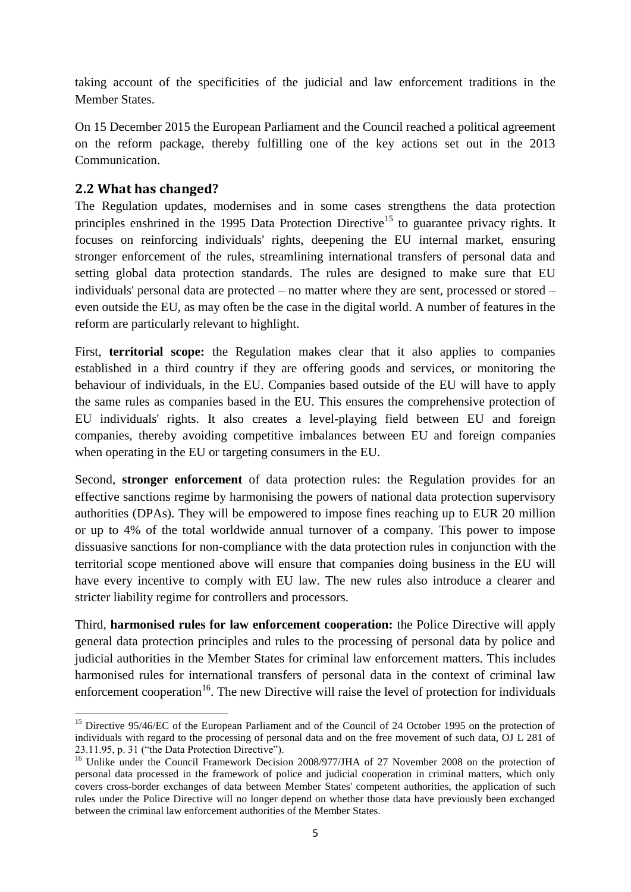taking account of the specificities of the judicial and law enforcement traditions in the Member States.

On 15 December 2015 the European Parliament and the Council reached a political agreement on the reform package, thereby fulfilling one of the key actions set out in the 2013 Communication.

### **2.2 What has changed?**

The Regulation updates, modernises and in some cases strengthens the data protection principles enshrined in the 1995 Data Protection Directive<sup>15</sup> to guarantee privacy rights. It focuses on reinforcing individuals' rights, deepening the EU internal market, ensuring stronger enforcement of the rules, streamlining international transfers of personal data and setting global data protection standards. The rules are designed to make sure that EU individuals' personal data are protected – no matter where they are sent, processed or stored – even outside the EU, as may often be the case in the digital world. A number of features in the reform are particularly relevant to highlight.

First, **territorial scope:** the Regulation makes clear that it also applies to companies established in a third country if they are offering goods and services, or monitoring the behaviour of individuals, in the EU. Companies based outside of the EU will have to apply the same rules as companies based in the EU. This ensures the comprehensive protection of EU individuals' rights. It also creates a level-playing field between EU and foreign companies, thereby avoiding competitive imbalances between EU and foreign companies when operating in the EU or targeting consumers in the EU.

Second, **stronger enforcement** of data protection rules: the Regulation provides for an effective sanctions regime by harmonising the powers of national data protection supervisory authorities (DPAs). They will be empowered to impose fines reaching up to EUR 20 million or up to 4% of the total worldwide annual turnover of a company. This power to impose dissuasive sanctions for non-compliance with the data protection rules in conjunction with the territorial scope mentioned above will ensure that companies doing business in the EU will have every incentive to comply with EU law. The new rules also introduce a clearer and stricter liability regime for controllers and processors.

Third, **harmonised rules for law enforcement cooperation:** the Police Directive will apply general data protection principles and rules to the processing of personal data by police and judicial authorities in the Member States for criminal law enforcement matters. This includes harmonised rules for international transfers of personal data in the context of criminal law enforcement cooperation<sup>16</sup>. The new Directive will raise the level of protection for individuals

**<sup>.</sup>** <sup>15</sup> Directive 95/46/EC of the European Parliament and of the Council of 24 October 1995 on the protection of individuals with regard to the processing of personal data and on the free movement of such data, OJ L 281 of 23.11.95, p. 31 ("the Data Protection Directive").

<sup>&</sup>lt;sup>16</sup> Unlike under the Council Framework Decision 2008/977/JHA of 27 November 2008 on the protection of personal data processed in the framework of police and judicial cooperation in criminal matters, which only covers cross-border exchanges of data between Member States' competent authorities, the application of such rules under the Police Directive will no longer depend on whether those data have previously been exchanged between the criminal law enforcement authorities of the Member States.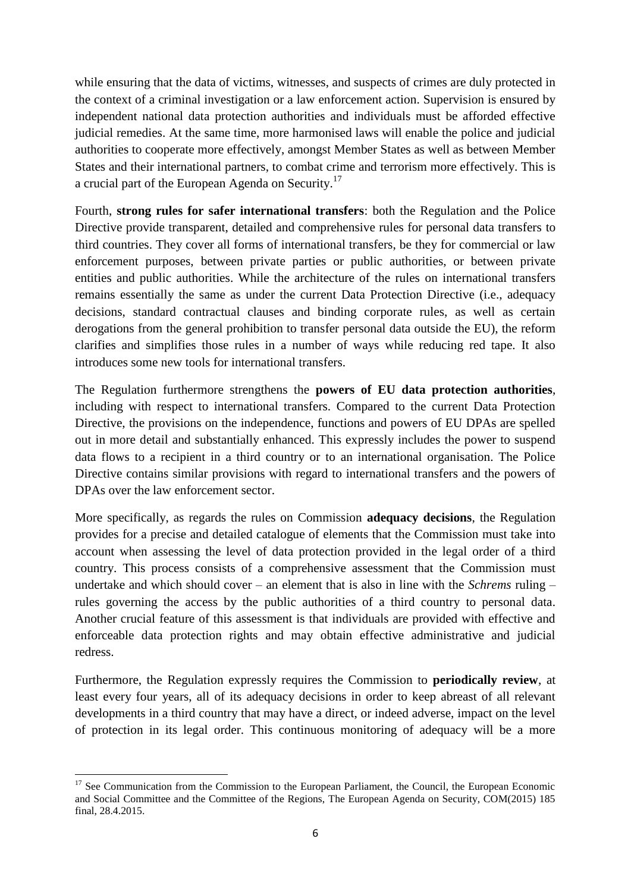while ensuring that the data of victims, witnesses, and suspects of crimes are duly protected in the context of a criminal investigation or a law enforcement action. Supervision is ensured by independent national data protection authorities and individuals must be afforded effective judicial remedies. At the same time, more harmonised laws will enable the police and judicial authorities to cooperate more effectively, amongst Member States as well as between Member States and their international partners, to combat crime and terrorism more effectively. This is a crucial part of the European Agenda on Security.<sup>17</sup>

Fourth, **strong rules for safer international transfers**: both the Regulation and the Police Directive provide transparent, detailed and comprehensive rules for personal data transfers to third countries. They cover all forms of international transfers, be they for commercial or law enforcement purposes, between private parties or public authorities, or between private entities and public authorities. While the architecture of the rules on international transfers remains essentially the same as under the current Data Protection Directive (i.e., adequacy decisions, standard contractual clauses and binding corporate rules, as well as certain derogations from the general prohibition to transfer personal data outside the EU), the reform clarifies and simplifies those rules in a number of ways while reducing red tape. It also introduces some new tools for international transfers.

The Regulation furthermore strengthens the **powers of EU data protection authorities**, including with respect to international transfers. Compared to the current Data Protection Directive, the provisions on the independence, functions and powers of EU DPAs are spelled out in more detail and substantially enhanced. This expressly includes the power to suspend data flows to a recipient in a third country or to an international organisation. The Police Directive contains similar provisions with regard to international transfers and the powers of DPAs over the law enforcement sector.

More specifically, as regards the rules on Commission **adequacy decisions**, the Regulation provides for a precise and detailed catalogue of elements that the Commission must take into account when assessing the level of data protection provided in the legal order of a third country. This process consists of a comprehensive assessment that the Commission must undertake and which should cover – an element that is also in line with the *Schrems* ruling – rules governing the access by the public authorities of a third country to personal data. Another crucial feature of this assessment is that individuals are provided with effective and enforceable data protection rights and may obtain effective administrative and judicial redress.

Furthermore, the Regulation expressly requires the Commission to **periodically review**, at least every four years, all of its adequacy decisions in order to keep abreast of all relevant developments in a third country that may have a direct, or indeed adverse, impact on the level of protection in its legal order. This continuous monitoring of adequacy will be a more

<sup>1</sup> <sup>17</sup> See Communication from the Commission to the European Parliament, the Council, the European Economic and Social Committee and the Committee of the Regions, The European Agenda on Security, COM(2015) 185 final, 28.4.2015.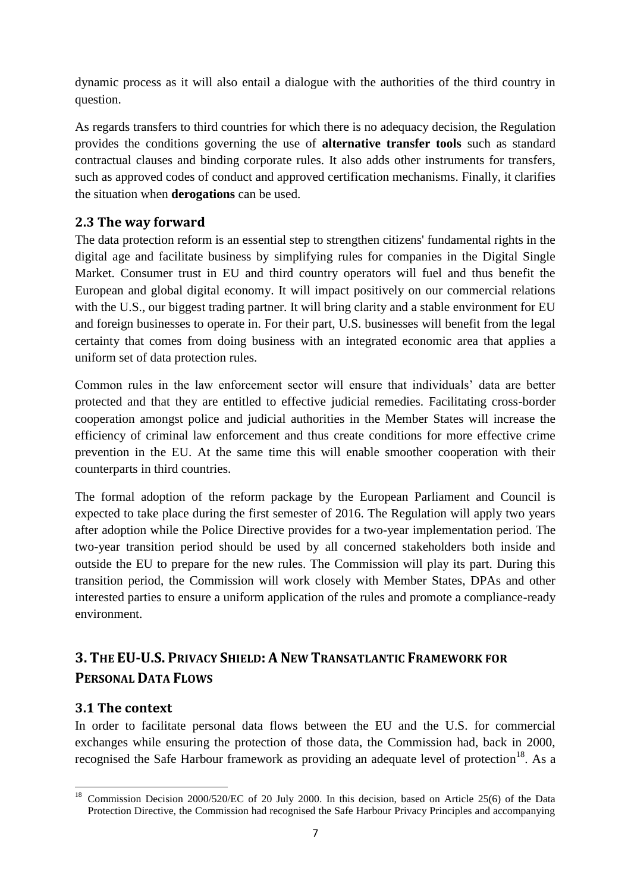dynamic process as it will also entail a dialogue with the authorities of the third country in question.

As regards transfers to third countries for which there is no adequacy decision, the Regulation provides the conditions governing the use of **alternative transfer tools** such as standard contractual clauses and binding corporate rules. It also adds other instruments for transfers, such as approved codes of conduct and approved certification mechanisms. Finally, it clarifies the situation when **derogations** can be used.

# **2.3 The way forward**

The data protection reform is an essential step to strengthen citizens' fundamental rights in the digital age and facilitate business by simplifying rules for companies in the Digital Single Market. Consumer trust in EU and third country operators will fuel and thus benefit the European and global digital economy. It will impact positively on our commercial relations with the U.S., our biggest trading partner. It will bring clarity and a stable environment for EU and foreign businesses to operate in. For their part, U.S. businesses will benefit from the legal certainty that comes from doing business with an integrated economic area that applies a uniform set of data protection rules.

Common rules in the law enforcement sector will ensure that individuals' data are better protected and that they are entitled to effective judicial remedies. Facilitating cross-border cooperation amongst police and judicial authorities in the Member States will increase the efficiency of criminal law enforcement and thus create conditions for more effective crime prevention in the EU. At the same time this will enable smoother cooperation with their counterparts in third countries.

The formal adoption of the reform package by the European Parliament and Council is expected to take place during the first semester of 2016. The Regulation will apply two years after adoption while the Police Directive provides for a two-year implementation period. The two-year transition period should be used by all concerned stakeholders both inside and outside the EU to prepare for the new rules. The Commission will play its part. During this transition period, the Commission will work closely with Member States, DPAs and other interested parties to ensure a uniform application of the rules and promote a compliance-ready environment.

# **3. THE EU-U.S. PRIVACY SHIELD: ANEW TRANSATLANTIC FRAMEWORK FOR PERSONAL DATA FLOWS**

# **3.1 The context**

In order to facilitate personal data flows between the EU and the U.S. for commercial exchanges while ensuring the protection of those data, the Commission had, back in 2000, recognised the Safe Harbour framework as providing an adequate level of protection<sup>18</sup>. As a

 $18\,$ <sup>18</sup> Commission Decision 2000/520/EC of 20 July 2000. In this decision, based on Article 25(6) of the Data Protection Directive, the Commission had recognised the Safe Harbour Privacy Principles and accompanying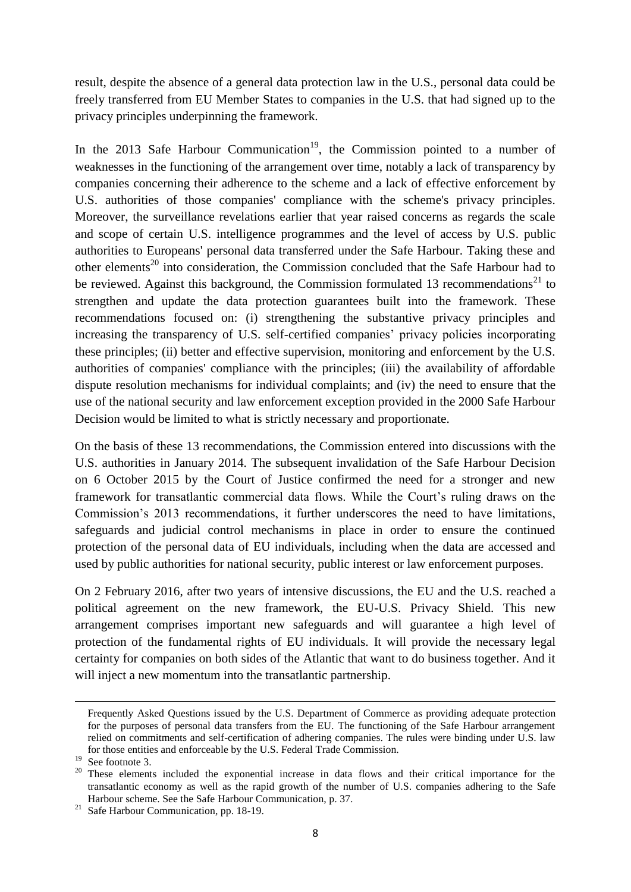result, despite the absence of a general data protection law in the U.S., personal data could be freely transferred from EU Member States to companies in the U.S. that had signed up to the privacy principles underpinning the framework.

In the 2013 Safe Harbour Communication<sup>19</sup>, the Commission pointed to a number of weaknesses in the functioning of the arrangement over time, notably a lack of transparency by companies concerning their adherence to the scheme and a lack of effective enforcement by U.S. authorities of those companies' compliance with the scheme's privacy principles. Moreover, the surveillance revelations earlier that year raised concerns as regards the scale and scope of certain U.S. intelligence programmes and the level of access by U.S. public authorities to Europeans' personal data transferred under the Safe Harbour. Taking these and other elements<sup>20</sup> into consideration, the Commission concluded that the Safe Harbour had to be reviewed. Against this background, the Commission formulated 13 recommendations<sup>21</sup> to strengthen and update the data protection guarantees built into the framework. These recommendations focused on: (i) strengthening the substantive privacy principles and increasing the transparency of U.S. self-certified companies' privacy policies incorporating these principles; (ii) better and effective supervision, monitoring and enforcement by the U.S. authorities of companies' compliance with the principles; (iii) the availability of affordable dispute resolution mechanisms for individual complaints; and (iv) the need to ensure that the use of the national security and law enforcement exception provided in the 2000 Safe Harbour Decision would be limited to what is strictly necessary and proportionate.

On the basis of these 13 recommendations, the Commission entered into discussions with the U.S. authorities in January 2014. The subsequent invalidation of the Safe Harbour Decision on 6 October 2015 by the Court of Justice confirmed the need for a stronger and new framework for transatlantic commercial data flows. While the Court's ruling draws on the Commission's 2013 recommendations, it further underscores the need to have limitations, safeguards and judicial control mechanisms in place in order to ensure the continued protection of the personal data of EU individuals, including when the data are accessed and used by public authorities for national security, public interest or law enforcement purposes.

On 2 February 2016, after two years of intensive discussions, the EU and the U.S. reached a political agreement on the new framework, the EU-U.S. Privacy Shield. This new arrangement comprises important new safeguards and will guarantee a high level of protection of the fundamental rights of EU individuals. It will provide the necessary legal certainty for companies on both sides of the Atlantic that want to do business together. And it will inject a new momentum into the transatlantic partnership.

 $\ddot{\phantom{a}}$ 

Frequently Asked Questions issued by the U.S. Department of Commerce as providing adequate protection for the purposes of personal data transfers from the EU. The functioning of the Safe Harbour arrangement relied on commitments and self-certification of adhering companies. The rules were binding under U.S. law for those entities and enforceable by the U.S. Federal Trade Commission.

 $19 \text{ See footnote 3.}$ 

<sup>&</sup>lt;sup>20</sup> These elements included the exponential increase in data flows and their critical importance for the transatlantic economy as well as the rapid growth of the number of U.S. companies adhering to the Safe Harbour scheme. See the Safe Harbour Communication, p. 37.

<sup>&</sup>lt;sup>21</sup> Safe Harbour Communication, pp. 18-19.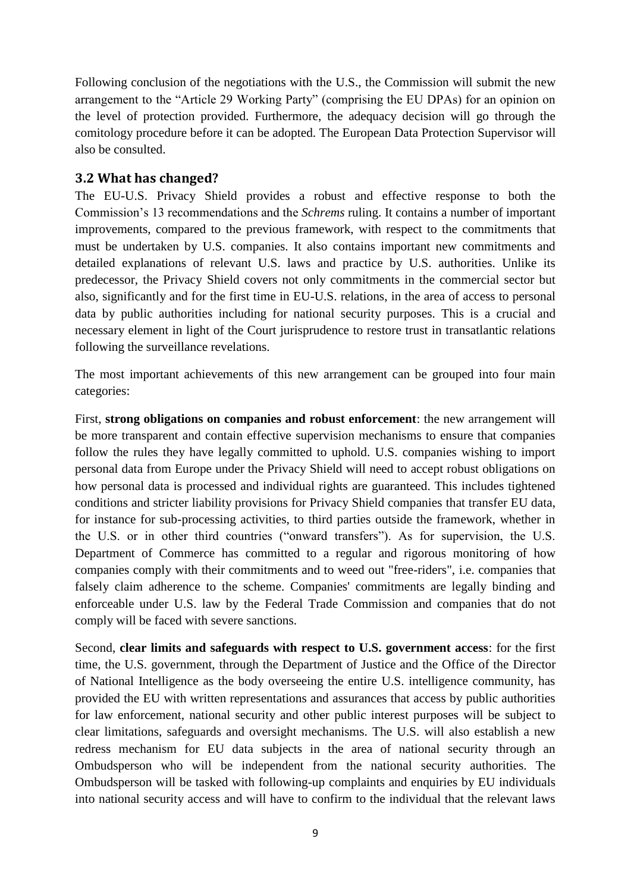Following conclusion of the negotiations with the U.S., the Commission will submit the new arrangement to the "Article 29 Working Party" (comprising the EU DPAs) for an opinion on the level of protection provided. Furthermore, the adequacy decision will go through the comitology procedure before it can be adopted. The European Data Protection Supervisor will also be consulted.

### **3.2 What has changed?**

The EU-U.S. Privacy Shield provides a robust and effective response to both the Commission's 13 recommendations and the *Schrems* ruling. It contains a number of important improvements, compared to the previous framework, with respect to the commitments that must be undertaken by U.S. companies. It also contains important new commitments and detailed explanations of relevant U.S. laws and practice by U.S. authorities. Unlike its predecessor, the Privacy Shield covers not only commitments in the commercial sector but also, significantly and for the first time in EU-U.S. relations, in the area of access to personal data by public authorities including for national security purposes. This is a crucial and necessary element in light of the Court jurisprudence to restore trust in transatlantic relations following the surveillance revelations.

The most important achievements of this new arrangement can be grouped into four main categories:

First, **strong obligations on companies and robust enforcement**: the new arrangement will be more transparent and contain effective supervision mechanisms to ensure that companies follow the rules they have legally committed to uphold. U.S. companies wishing to import personal data from Europe under the Privacy Shield will need to accept robust obligations on how personal data is processed and individual rights are guaranteed. This includes tightened conditions and stricter liability provisions for Privacy Shield companies that transfer EU data, for instance for sub-processing activities, to third parties outside the framework, whether in the U.S. or in other third countries ("onward transfers"). As for supervision, the U.S. Department of Commerce has committed to a regular and rigorous monitoring of how companies comply with their commitments and to weed out "free-riders", i.e. companies that falsely claim adherence to the scheme. Companies' commitments are legally binding and enforceable under U.S. law by the Federal Trade Commission and companies that do not comply will be faced with severe sanctions.

Second, **clear limits and safeguards with respect to U.S. government access**: for the first time, the U.S. government, through the Department of Justice and the Office of the Director of National Intelligence as the body overseeing the entire U.S. intelligence community, has provided the EU with written representations and assurances that access by public authorities for law enforcement, national security and other public interest purposes will be subject to clear limitations, safeguards and oversight mechanisms. The U.S. will also establish a new redress mechanism for EU data subjects in the area of national security through an Ombudsperson who will be independent from the national security authorities. The Ombudsperson will be tasked with following-up complaints and enquiries by EU individuals into national security access and will have to confirm to the individual that the relevant laws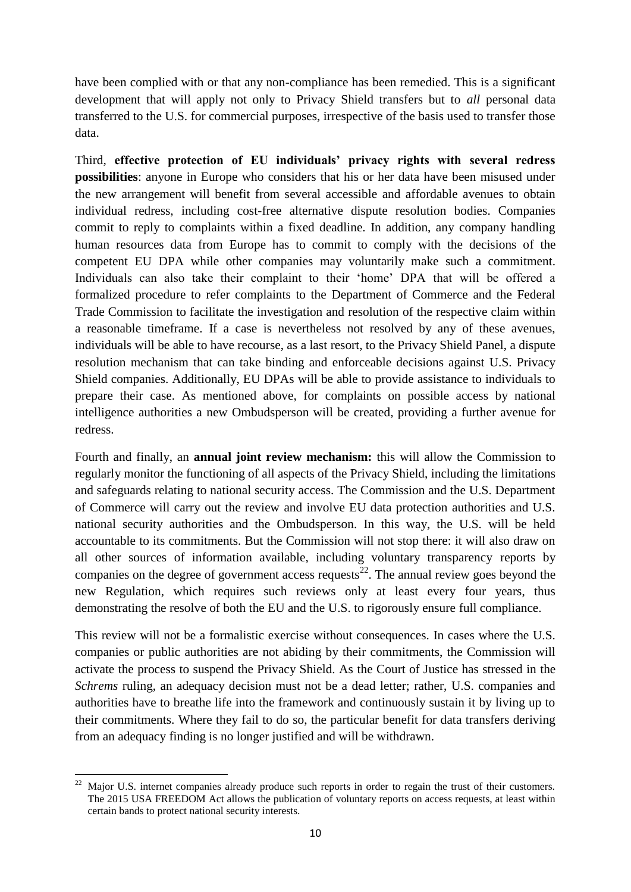have been complied with or that any non-compliance has been remedied. This is a significant development that will apply not only to Privacy Shield transfers but to *all* personal data transferred to the U.S. for commercial purposes, irrespective of the basis used to transfer those data.

Third, **effective protection of EU individuals' privacy rights with several redress possibilities**: anyone in Europe who considers that his or her data have been misused under the new arrangement will benefit from several accessible and affordable avenues to obtain individual redress, including cost-free alternative dispute resolution bodies. Companies commit to reply to complaints within a fixed deadline. In addition, any company handling human resources data from Europe has to commit to comply with the decisions of the competent EU DPA while other companies may voluntarily make such a commitment. Individuals can also take their complaint to their 'home' DPA that will be offered a formalized procedure to refer complaints to the Department of Commerce and the Federal Trade Commission to facilitate the investigation and resolution of the respective claim within a reasonable timeframe. If a case is nevertheless not resolved by any of these avenues, individuals will be able to have recourse, as a last resort, to the Privacy Shield Panel, a dispute resolution mechanism that can take binding and enforceable decisions against U.S. Privacy Shield companies. Additionally, EU DPAs will be able to provide assistance to individuals to prepare their case. As mentioned above, for complaints on possible access by national intelligence authorities a new Ombudsperson will be created, providing a further avenue for redress.

Fourth and finally, an **annual joint review mechanism:** this will allow the Commission to regularly monitor the functioning of all aspects of the Privacy Shield, including the limitations and safeguards relating to national security access. The Commission and the U.S. Department of Commerce will carry out the review and involve EU data protection authorities and U.S. national security authorities and the Ombudsperson. In this way, the U.S. will be held accountable to its commitments. But the Commission will not stop there: it will also draw on all other sources of information available, including voluntary transparency reports by companies on the degree of government access requests<sup>22</sup>. The annual review goes beyond the new Regulation, which requires such reviews only at least every four years, thus demonstrating the resolve of both the EU and the U.S. to rigorously ensure full compliance.

This review will not be a formalistic exercise without consequences. In cases where the U.S. companies or public authorities are not abiding by their commitments, the Commission will activate the process to suspend the Privacy Shield. As the Court of Justice has stressed in the *Schrems* ruling, an adequacy decision must not be a dead letter; rather, U.S. companies and authorities have to breathe life into the framework and continuously sustain it by living up to their commitments. Where they fail to do so, the particular benefit for data transfers deriving from an adequacy finding is no longer justified and will be withdrawn.

<sup>1</sup> Major U.S. internet companies already produce such reports in order to regain the trust of their customers. The 2015 USA FREEDOM Act allows the publication of voluntary reports on access requests, at least within certain bands to protect national security interests.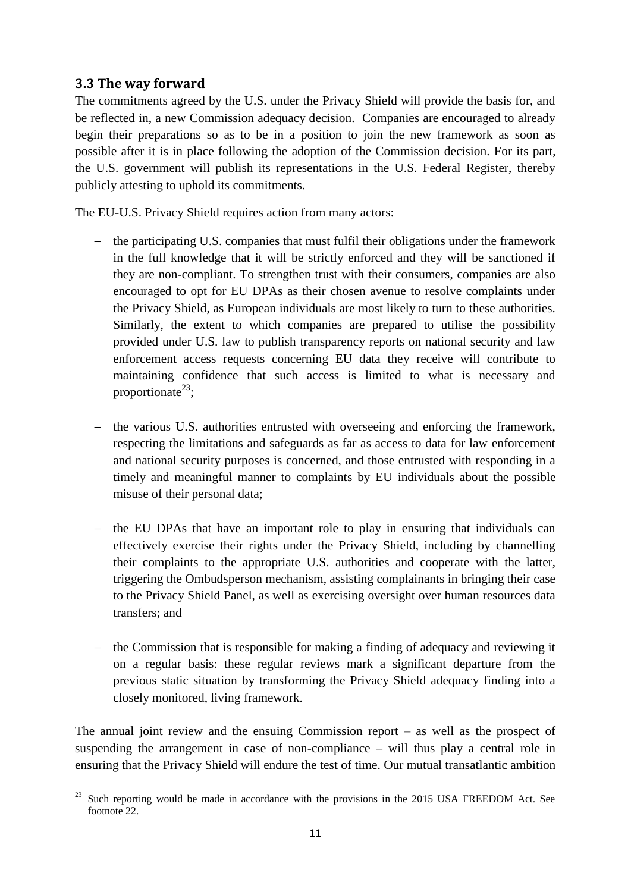### **3.3 The way forward**

The commitments agreed by the U.S. under the Privacy Shield will provide the basis for, and be reflected in, a new Commission adequacy decision. Companies are encouraged to already begin their preparations so as to be in a position to join the new framework as soon as possible after it is in place following the adoption of the Commission decision. For its part, the U.S. government will publish its representations in the U.S. Federal Register, thereby publicly attesting to uphold its commitments.

The EU-U.S. Privacy Shield requires action from many actors:

- the participating U.S. companies that must fulfil their obligations under the framework in the full knowledge that it will be strictly enforced and they will be sanctioned if they are non-compliant. To strengthen trust with their consumers, companies are also encouraged to opt for EU DPAs as their chosen avenue to resolve complaints under the Privacy Shield, as European individuals are most likely to turn to these authorities. Similarly, the extent to which companies are prepared to utilise the possibility provided under U.S. law to publish transparency reports on national security and law enforcement access requests concerning EU data they receive will contribute to maintaining confidence that such access is limited to what is necessary and proportionate<sup>23</sup>;
- the various U.S. authorities entrusted with overseeing and enforcing the framework, respecting the limitations and safeguards as far as access to data for law enforcement and national security purposes is concerned, and those entrusted with responding in a timely and meaningful manner to complaints by EU individuals about the possible misuse of their personal data;
- the EU DPAs that have an important role to play in ensuring that individuals can effectively exercise their rights under the Privacy Shield, including by channelling their complaints to the appropriate U.S. authorities and cooperate with the latter, triggering the Ombudsperson mechanism, assisting complainants in bringing their case to the Privacy Shield Panel, as well as exercising oversight over human resources data transfers; and
- $\theta$  the Commission that is responsible for making a finding of adequacy and reviewing it on a regular basis: these regular reviews mark a significant departure from the previous static situation by transforming the Privacy Shield adequacy finding into a closely monitored, living framework.

The annual joint review and the ensuing Commission report – as well as the prospect of suspending the arrangement in case of non-compliance – will thus play a central role in ensuring that the Privacy Shield will endure the test of time. Our mutual transatlantic ambition

<sup>23</sup> <sup>23</sup> Such reporting would be made in accordance with the provisions in the 2015 USA FREEDOM Act. See footnote 22.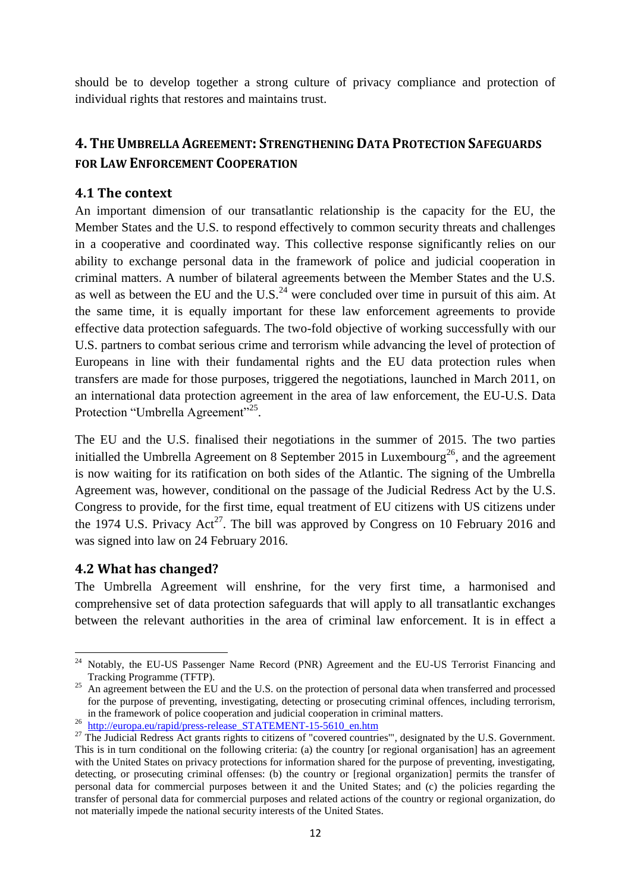should be to develop together a strong culture of privacy compliance and protection of individual rights that restores and maintains trust.

# **4. THE UMBRELLA AGREEMENT: STRENGTHENING DATA PROTECTION SAFEGUARDS FOR LAW ENFORCEMENT COOPERATION**

### **4.1 The context**

An important dimension of our transatlantic relationship is the capacity for the EU, the Member States and the U.S. to respond effectively to common security threats and challenges in a cooperative and coordinated way. This collective response significantly relies on our ability to exchange personal data in the framework of police and judicial cooperation in criminal matters. A number of bilateral agreements between the Member States and the U.S. as well as between the EU and the U.S.<sup>24</sup> were concluded over time in pursuit of this aim. At the same time, it is equally important for these law enforcement agreements to provide effective data protection safeguards. The two-fold objective of working successfully with our U.S. partners to combat serious crime and terrorism while advancing the level of protection of Europeans in line with their fundamental rights and the EU data protection rules when transfers are made for those purposes, triggered the negotiations, launched in March 2011, on an international data protection agreement in the area of law enforcement, the EU-U.S. Data Protection "Umbrella Agreement"<sup>25</sup>.

The EU and the U.S. finalised their negotiations in the summer of 2015. The two parties initialled the Umbrella Agreement on 8 September 2015 in Luxembourg<sup>26</sup>, and the agreement is now waiting for its ratification on both sides of the Atlantic. The signing of the Umbrella Agreement was, however, conditional on the passage of the Judicial Redress Act by the U.S. Congress to provide, for the first time, equal treatment of EU citizens with US citizens under the 1974 U.S. Privacy  $Act^{27}$ . The bill was approved by Congress on 10 February 2016 and was signed into law on 24 February 2016.

### **4.2 What has changed?**

The Umbrella Agreement will enshrine, for the very first time, a harmonised and comprehensive set of data protection safeguards that will apply to all transatlantic exchanges between the relevant authorities in the area of criminal law enforcement. It is in effect a

**<sup>.</sup>** <sup>24</sup> Notably, the EU-US Passenger Name Record (PNR) Agreement and the EU-US Terrorist Financing and Tracking Programme (TFTP).

<sup>&</sup>lt;sup>25</sup> An agreement between the EU and the U.S. on the protection of personal data when transferred and processed for the purpose of preventing, investigating, detecting or prosecuting criminal offences, including terrorism, in the framework of police cooperation and judicial cooperation in criminal matters.

<sup>&</sup>lt;sup>26</sup> [http://europa.eu/rapid/press-release\\_STATEMENT-15-5610\\_en.htm](http://europa.eu/rapid/press-release_STATEMENT-15-5610_en.htm)

<sup>&</sup>lt;sup>27</sup> The Judicial Redress Act grants rights to citizens of "covered countries"', designated by the U.S. Government. This is in turn conditional on the following criteria: (a) the country [or regional organisation] has an agreement with the United States on privacy protections for information shared for the purpose of preventing, investigating, detecting, or prosecuting criminal offenses: (b) the country or [regional organization] permits the transfer of personal data for commercial purposes between it and the United States; and (c) the policies regarding the transfer of personal data for commercial purposes and related actions of the country or regional organization, do not materially impede the national security interests of the United States.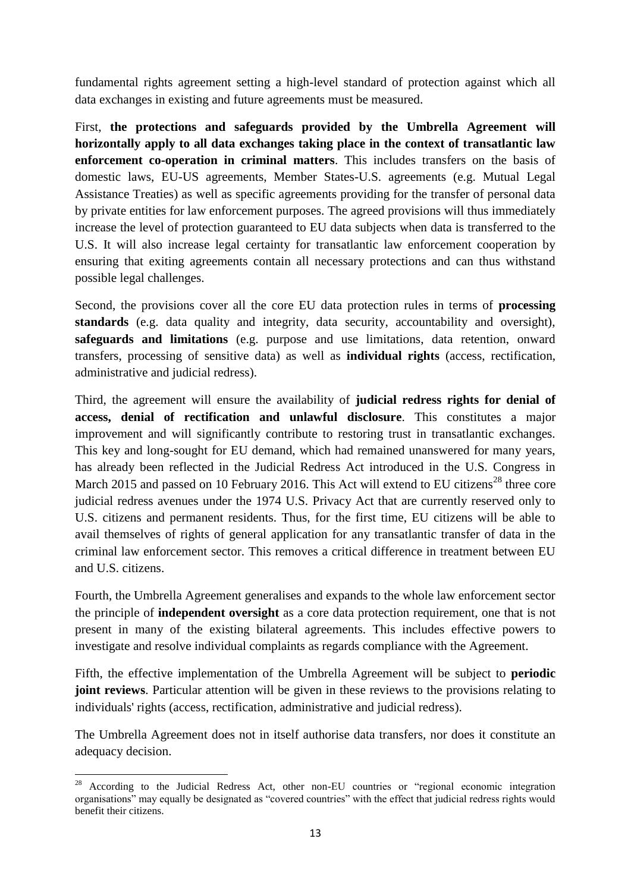fundamental rights agreement setting a high-level standard of protection against which all data exchanges in existing and future agreements must be measured.

First, **the protections and safeguards provided by the Umbrella Agreement will horizontally apply to all data exchanges taking place in the context of transatlantic law enforcement co-operation in criminal matters**. This includes transfers on the basis of domestic laws, EU-US agreements, Member States-U.S. agreements (e.g. Mutual Legal Assistance Treaties) as well as specific agreements providing for the transfer of personal data by private entities for law enforcement purposes. The agreed provisions will thus immediately increase the level of protection guaranteed to EU data subjects when data is transferred to the U.S. It will also increase legal certainty for transatlantic law enforcement cooperation by ensuring that exiting agreements contain all necessary protections and can thus withstand possible legal challenges.

Second, the provisions cover all the core EU data protection rules in terms of **processing standards** (e.g. data quality and integrity, data security, accountability and oversight), **safeguards and limitations** (e.g. purpose and use limitations, data retention, onward transfers, processing of sensitive data) as well as **individual rights** (access, rectification, administrative and judicial redress).

Third, the agreement will ensure the availability of **judicial redress rights for denial of access, denial of rectification and unlawful disclosure**. This constitutes a major improvement and will significantly contribute to restoring trust in transatlantic exchanges. This key and long-sought for EU demand, which had remained unanswered for many years, has already been reflected in the Judicial Redress Act introduced in the U.S. Congress in March 2015 and passed on 10 February 2016. This Act will extend to EU citizens<sup>28</sup> three core judicial redress avenues under the 1974 U.S. Privacy Act that are currently reserved only to U.S. citizens and permanent residents. Thus, for the first time, EU citizens will be able to avail themselves of rights of general application for any transatlantic transfer of data in the criminal law enforcement sector. This removes a critical difference in treatment between EU and U.S. citizens.

Fourth, the Umbrella Agreement generalises and expands to the whole law enforcement sector the principle of **independent oversight** as a core data protection requirement, one that is not present in many of the existing bilateral agreements. This includes effective powers to investigate and resolve individual complaints as regards compliance with the Agreement.

Fifth, the effective implementation of the Umbrella Agreement will be subject to **periodic joint reviews**. Particular attention will be given in these reviews to the provisions relating to individuals' rights (access, rectification, administrative and judicial redress).

The Umbrella Agreement does not in itself authorise data transfers, nor does it constitute an adequacy decision.

<sup>1</sup> <sup>28</sup> According to the Judicial Redress Act, other non-EU countries or "regional economic integration organisations" may equally be designated as "covered countries" with the effect that judicial redress rights would benefit their citizens.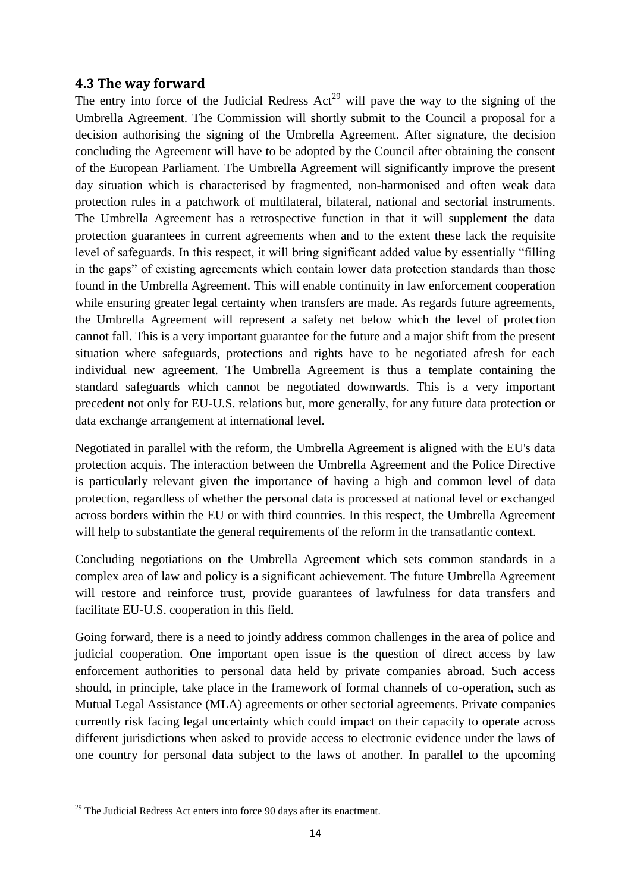### **4.3 The way forward**

The entry into force of the Judicial Redress  $Act^{29}$  will pave the way to the signing of the Umbrella Agreement. The Commission will shortly submit to the Council a proposal for a decision authorising the signing of the Umbrella Agreement. After signature, the decision concluding the Agreement will have to be adopted by the Council after obtaining the consent of the European Parliament. The Umbrella Agreement will significantly improve the present day situation which is characterised by fragmented, non-harmonised and often weak data protection rules in a patchwork of multilateral, bilateral, national and sectorial instruments. The Umbrella Agreement has a retrospective function in that it will supplement the data protection guarantees in current agreements when and to the extent these lack the requisite level of safeguards. In this respect, it will bring significant added value by essentially "filling in the gaps" of existing agreements which contain lower data protection standards than those found in the Umbrella Agreement. This will enable continuity in law enforcement cooperation while ensuring greater legal certainty when transfers are made. As regards future agreements, the Umbrella Agreement will represent a safety net below which the level of protection cannot fall. This is a very important guarantee for the future and a major shift from the present situation where safeguards, protections and rights have to be negotiated afresh for each individual new agreement. The Umbrella Agreement is thus a template containing the standard safeguards which cannot be negotiated downwards. This is a very important precedent not only for EU-U.S. relations but, more generally, for any future data protection or data exchange arrangement at international level.

Negotiated in parallel with the reform, the Umbrella Agreement is aligned with the EU's data protection acquis. The interaction between the Umbrella Agreement and the Police Directive is particularly relevant given the importance of having a high and common level of data protection, regardless of whether the personal data is processed at national level or exchanged across borders within the EU or with third countries. In this respect, the Umbrella Agreement will help to substantiate the general requirements of the reform in the transatlantic context.

Concluding negotiations on the Umbrella Agreement which sets common standards in a complex area of law and policy is a significant achievement. The future Umbrella Agreement will restore and reinforce trust, provide guarantees of lawfulness for data transfers and facilitate EU-U.S. cooperation in this field.

Going forward, there is a need to jointly address common challenges in the area of police and judicial cooperation. One important open issue is the question of direct access by law enforcement authorities to personal data held by private companies abroad. Such access should, in principle, take place in the framework of formal channels of co-operation, such as Mutual Legal Assistance (MLA) agreements or other sectorial agreements. Private companies currently risk facing legal uncertainty which could impact on their capacity to operate across different jurisdictions when asked to provide access to electronic evidence under the laws of one country for personal data subject to the laws of another. In parallel to the upcoming

**.** 

 $29$  The Judicial Redress Act enters into force 90 days after its enactment.